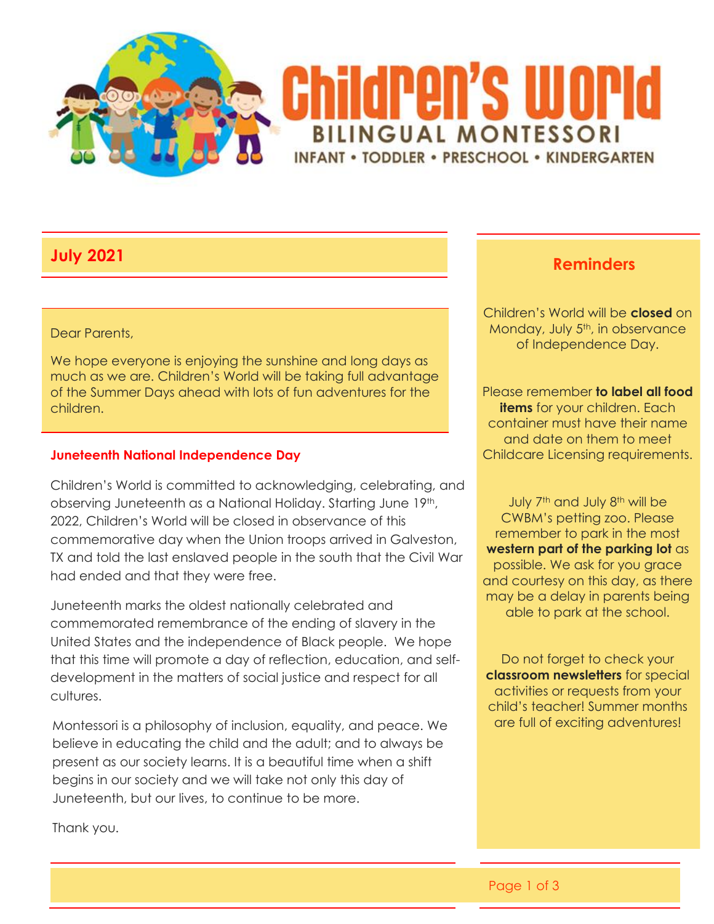

#### Dear Parents,

We hope everyone is enjoying the sunshine and long days as much as we are. Children's World will be taking full advantage of the Summer Days ahead with lots of fun adventures for the children.

#### **Juneteenth National Independence Day**

Children's World is committed to acknowledging, celebrating, and observing Juneteenth as a National Holiday. Starting June 19th, 2022, Children's World will be closed in observance of this commemorative day when the Union troops arrived in Galveston, TX and told the last enslaved people in the south that the Civil War had ended and that they were free.

Juneteenth marks the oldest nationally celebrated and commemorated remembrance of the ending of slavery in the United States and the independence of Black people. We hope that this time will promote a day of reflection, education, and selfdevelopment in the matters of social justice and respect for all cultures.

Montessori is a philosophy of inclusion, equality, and peace. We believe in educating the child and the adult; and to always be present as our society learns. It is a beautiful time when a shift begins in our society and we will take not only this day of Juneteenth, but our lives, to continue to be more.

Thank you.

# **July <sup>2021</sup> Reminders**

Children's World will be **closed** on Monday, July 5<sup>th</sup>, in observance of Independence Day.

Please remember **to label all food items** for your children. Each container must have their name and date on them to meet Childcare Licensing requirements.

July 7<sup>th</sup> and July 8<sup>th</sup> will be CWBM's petting zoo. Please remember to park in the most **western part of the parking lot** as possible. We ask for you grace and courtesy on this day, as there may be a delay in parents being able to park at the school.

Do not forget to check your **classroom newsletters** for special activities or requests from your child's teacher! Summer months are full of exciting adventures!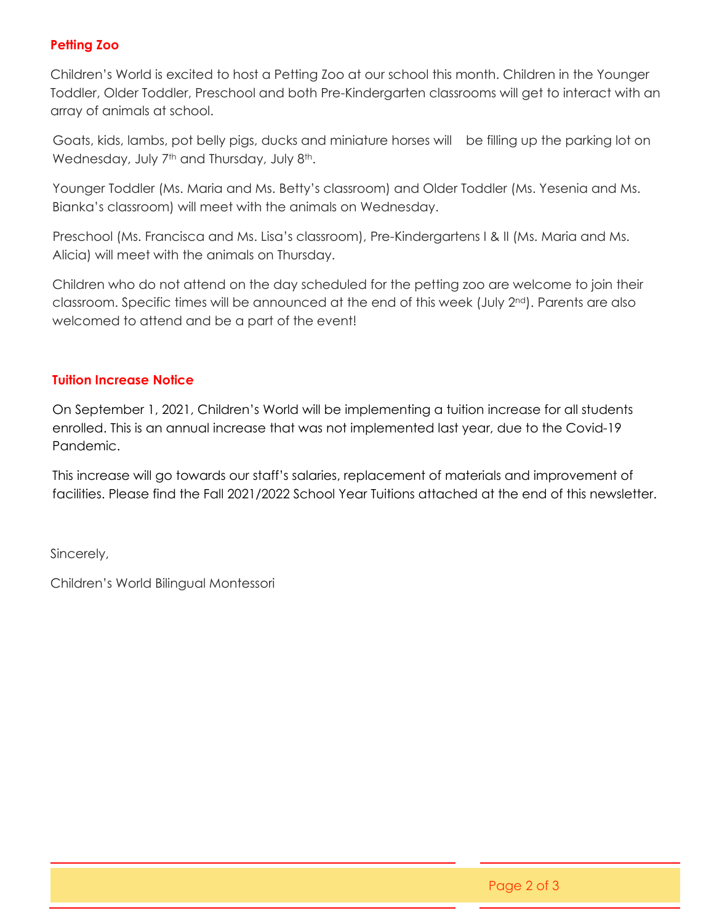### **Petting Zoo**

Children's World is excited to host a Petting Zoo at our school this month. Children in the Younger Toddler, Older Toddler, Preschool and both Pre-Kindergarten classrooms will get to interact with an array of animals at school.

 Goats, kids, lambs, pot belly pigs, ducks and miniature horses will be filling up the parking lot on Wednesday, July 7<sup>th</sup> and Thursday, July 8<sup>th</sup>.

 Younger Toddler (Ms. Maria and Ms. Betty's classroom) and Older Toddler (Ms. Yesenia and Ms. Bianka's classroom) will meet with the animals on Wednesday.

 Preschool (Ms. Francisca and Ms. Lisa's classroom), Pre-Kindergartens I & II (Ms. Maria and Ms. Alicia) will meet with the animals on Thursday.

Children who do not attend on the day scheduled for the petting zoo are welcome to join their classroom. Specific times will be announced at the end of this week (July 2nd). Parents are also welcomed to attend and be a part of the event!

#### **Tuition Increase Notice**

On September 1, 2021, Children's World will be implementing a tuition increase for all students enrolled. This is an annual increase that was not implemented last year, due to the Covid-19 Pandemic.

This increase will go towards our staff's salaries, replacement of materials and improvement of facilities. Please find the Fall 2021/2022 School Year Tuitions attached at the end of this newsletter.

Sincerely,

Children's World Bilingual Montessori